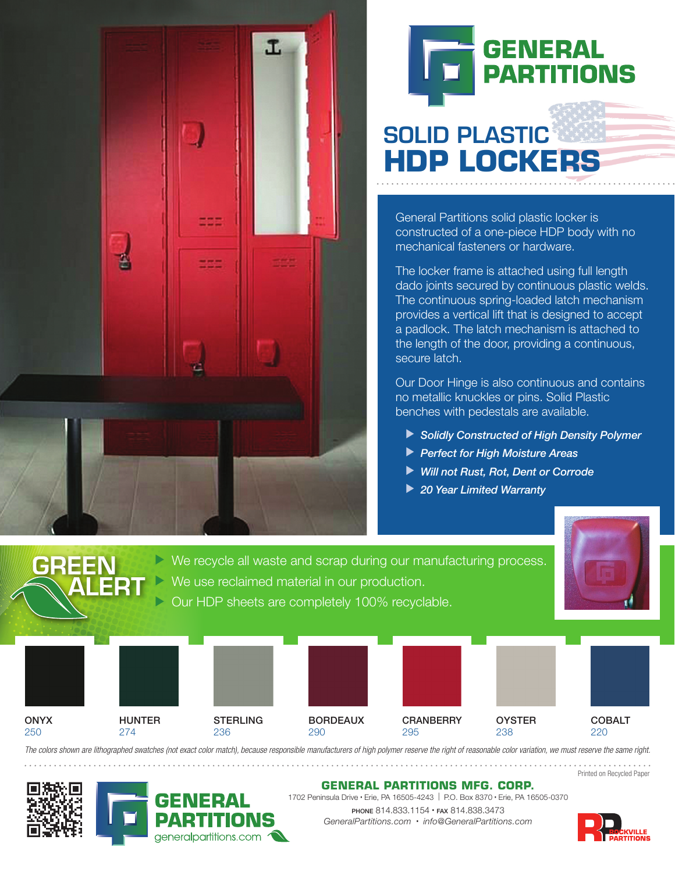



# SOLID PLASTIC **HDP LOCKERS**

General Partitions solid plastic locker is constructed of a one-piece HDP body with no mechanical fasteners or hardware.

The locker frame is attached using full length dado joints secured by continuous plastic welds. The continuous spring-loaded latch mechanism provides a vertical lift that is designed to accept a padlock. The latch mechanism is attached to the length of the door, providing a continuous, secure latch.

Our Door Hinge is also continuous and contains no metallic knuckles or pins. Solid Plastic benches with pedestals are available.

▶ Solidly Constructed of High Density Polymer

**OYSTER** 238

- **Perfect for High Moisture Areas**
- ▶ Will not Rust, Rot, Dent or Corrode
- ▶ 20 Year Limited Warranty





We use reclaimed material in our production.

We recycle all waste and scrap during our manufacturing process.

*The colors shown are lithographed swatches (not exact color match), because responsible manufacturers of high polymer reserve the right of reasonable color variation, we must reserve the same right.*

290

BORDEAUX

Printed on Recycled Paper

COBALT 220



**ONYX** 250



**STERLING** 236

HUNTER 274

#### **GENERAL PARTITIONS MFG. CORP.**

**CRANBERRY** 

295

1702 Peninsula Drive · Erie, PA 16505-4243 | P.O. Box 8370 · Erie, PA 16505-0370 PHONE 814.833.1154 · FAX 814.838.3473 *GeneralPartitions.com* ® *info@GeneralPartitions.com*